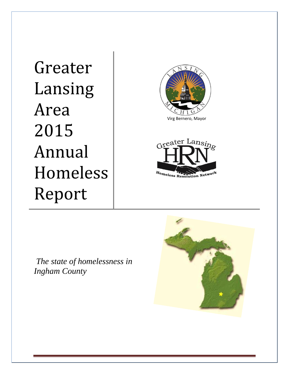Greater Lansing Area 2015 Annual Homeless Report







*The state of homelessness in Ingham County*

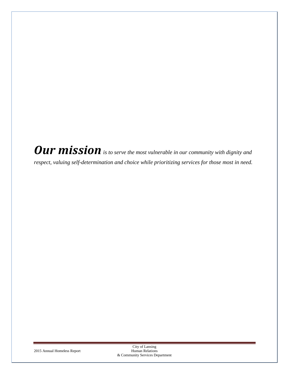Our mission is to serve the most vulnerable in our community with dignity and *respect, valuing self-determination and choice while prioritizing services for those most in need.*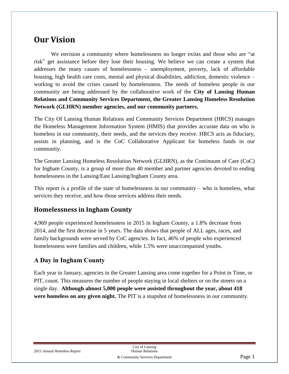# **Our Vision**

We envision a community where homelessness no longer exists and those who are "at risk" get assistance before they lose their housing. We believe we can create a system that addresses the many causes of homelessness – unemployment, poverty, lack of affordable housing, high health care costs, mental and physical disabilities, addiction, domestic violence – working to avoid the crises caused by homelessness. The needs of homeless people in our community are being addressed by the collaborative work of the **City of Lansing Human Relations and Community Services Department, the Greater Lansing Homeless Resolution Network (GLHRN) member agencies, and our community partners.** 

The City Of Lansing Human Relations and Community Services Department (HRCS) manages the Homeless Management Information System (HMIS) that provides accurate data on who is homeless in our community, their needs, and the services they receive. HRCS acts as fiduciary, assists in planning, and is the CoC Collaborative Applicant for homeless funds in our community.

The Greater Lansing Homeless Resolution Network (GLHRN), as the Continuum of Care (CoC) for Ingham County, is a group of more than 40 member and partner agencies devoted to ending homelessness in the Lansing/East Lansing/Ingham County area.

This report is a profile of the state of homelessness in our community – who is homeless, what services they receive, and how those services address their needs.

# **Homelessness in Ingham County**

4,969 people experienced homelessness in 2015 in Ingham County, a 1.8% decrease from 2014, and the first decrease in 5 years. The data shows that people of ALL ages, races, and family backgrounds were served by CoC agencies. In fact, 46% of people who experienced homelessness were families and children, while 1.5% were unaccompanied youths.

# **A Day in Ingham County**

Each year in January, agencies in the Greater Lansing area come together for a Point in Time, or PIT, count. This measures the number of people staying in local shelters or on the streets on a single day. **Although almost 5,000 people were assisted throughout the year, about 418 were homeless on any given night.** The PIT is a snapshot of homelessness in our community.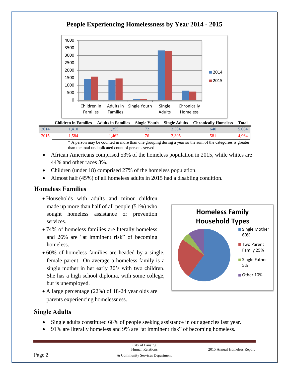

# **People Experiencing Homelessness by Year 2014 - 2015**

|      |             |       |       | <b>Children in Families Adults in Families Single Youth Single Adults Chronically Homeless</b> | Total |
|------|-------------|-------|-------|------------------------------------------------------------------------------------------------|-------|
| 2014 | $1.410^{1}$ | 1.355 | 3.334 | 640                                                                                            | 5.064 |
| 2015 | . .584      | 1.462 | 3.305 | 581                                                                                            | 4.964 |

\* A person may be counted in more than one grouping during a year so the sum of the categories is greater than the total unduplicated count of persons served.

- African Americans comprised 53% of the homeless population in 2015, while whites are 44% and other races 3%.
- Children (under 18) comprised 27% of the homeless population.
- Almost half (45%) of all homeless adults in 2015 had a disabling condition.

# **Homeless Families**

- Households with adults and minor children made up more than half of all people (51%) who sought homeless assistance or prevention services.
- 74% of homeless families are literally homeless and 26% are "at imminent risk" of becoming homeless.
- 60% of homeless families are headed by a single, female parent. On average a homeless family is a single mother in her early 30's with two children. She has a high school diploma, with some college, but is unemployed.
- A large percentage (22%) of 18-24 year olds are parents experiencing homelessness.



#### **Single Adults**

- Single adults constituted 66% of people seeking assistance in our agencies last year.
- 91% are literally homeless and 9% are "at imminent risk" of becoming homeless.

|        | City of Lansing<br><b>Human Relations</b> | 2015 Annual Homeless Report |  |
|--------|-------------------------------------------|-----------------------------|--|
| Page 2 | & Community Services Department           |                             |  |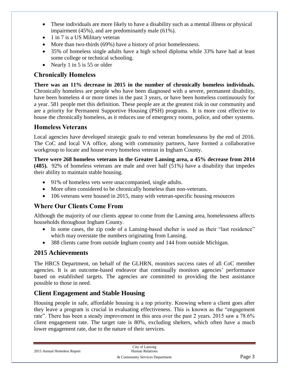- These individuals are more likely to have a disability such as a mental illness or physical impairment (45%), and are predominantly male (61%).
- 1 in 7 is a US Military veteran
- More than two-thirds (69%) have a history of prior homelessness.
- 35% of homeless single adults have a high school diploma while 33% have had at least some college or technical schooling.
- Nearly 1 in 5 is 55 or older

### **Chronically Homeless**

**There was an 11% decrease in 2015 in the number of chronically homeless individuals.** Chronically homeless are people who have been diagnosed with a severe, permanent disability, have been homeless 4 or more times in the past 3 years, or have been homeless continuously for a year. 581 people met this definition. These people are at the greatest risk in our community and are a priority for Permanent Supportive Housing (PSH) programs. It is more cost effective to house the chronically homeless, as it reduces use of emergency rooms, police, and other systems.

### **Homeless Veterans**

Local agencies have developed strategic goals to end veteran homelessness by the end of 2016. The CoC and local VA office, along with community partners, have formed a collaborative workgroup to locate and house every homeless veteran in Ingham County.

**There were 268 homeless veterans in the Greater Lansing area, a 45% decrease from 2014 (485).** 92% of homeless veterans are male and over half (51%) have a disability that impedes their ability to maintain stable housing.

- 91% of homeless vets were unaccompanied, single adults.
- More often considered to be chronically homeless than non-veterans.
- 106 veterans were housed in 2015, many with veteran-specific housing resources

# **Where Our Clients Come From**

Although the majority of our clients appear to come from the Lansing area, homelessness affects households throughout Ingham County.

- In some cases, the zip code of a Lansing-based shelter is used as their "last residence" which may overstate the numbers originating from Lansing.
- 388 clients came from outside Ingham county and 144 from outside Michigan.

### **2015 Achievements**

The HRCS Department, on behalf of the GLHRN, monitors success rates of all CoC member agencies. It is an outcome-based endeavor that continually monitors agencies' performance based on established targets. The agencies are committed to providing the best assistance possible to those in need.

### **Client Engagement and Stable Housing**

Housing people in safe, affordable housing is a top priority. Knowing where a client goes after they leave a program is crucial in evaluating effectiveness. This is known as the "engagement rate". There has been a steady improvement in this area over the past 2 years. 2015 saw a 78.6% client engagement rate. The target rate is 80%, excluding shelters, which often have a much lower engagement rate, due to the nature of their services.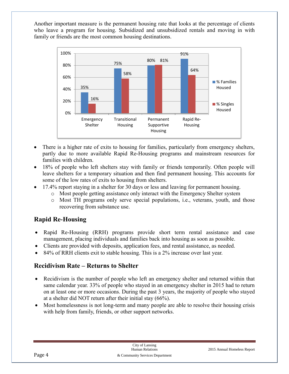Another important measure is the permanent housing rate that looks at the percentage of clients who leave a program for housing. Subsidized and unsubsidized rentals and moving in with family or friends are the most common housing destinations.



- There is a higher rate of exits to housing for families, particularly from emergency shelters, partly due to more available Rapid Re-Housing programs and mainstream resources for families with children.
- 18% of people who left shelters stay with family or friends temporarily. Often people will leave shelters for a temporary situation and then find permanent housing. This accounts for some of the low rates of exits to housing from shelters.
- 17.4% report staying in a shelter for 30 days or less and leaving for permanent housing.
	- o Most people getting assistance only interact with the Emergency Shelter system
	- o Most TH programs only serve special populations, i.e., veterans, youth, and those recovering from substance use.

# **Rapid Re-Housing**

- Rapid Re-Housing (RRH) programs provide short term rental assistance and case management, placing individuals and families back into housing as soon as possible.
- Clients are provided with deposits, application fees, and rental assistance, as needed.
- 84% of RRH clients exit to stable housing. This is a 2% increase over last year.

### **Recidivism Rate – Returns to Shelter**

- Recidivism is the number of people who left an emergency shelter and returned within that same calendar year. 33% of people who stayed in an emergency shelter in 2015 had to return on at least one or more occasions. During the past 3 years, the majority of people who stayed at a shelter did NOT return after their initial stay (66%).
- Most homelessness is not long-term and many people are able to resolve their housing crisis with help from family, friends, or other support networks.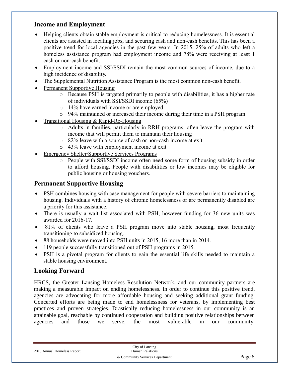### **Income and Employment**

- Helping clients obtain stable employment is critical to reducing homelessness. It is essential clients are assisted in locating jobs, and securing cash and non-cash benefits. This has been a positive trend for local agencies in the past few years. In 2015, 25% of adults who left a homeless assistance program had employment income and 78% were receiving at least 1 cash or non-cash benefit.
- Employment income and SSI/SSDI remain the most common sources of income, due to a high incidence of disability.
- The Supplemental Nutrition Assistance Program is the most common non-cash benefit.
- Permanent Supportive Housing
	- o Because PSH is targeted primarily to people with disabilities, it has a higher rate of individuals with SSI/SSDI income (65%)
	- o 14% have earned income or are employed
	- o 94% maintained or increased their income during their time in a PSH program
- Transitional Housing & Rapid-Re-Housing
	- o Adults in families, particularly in RRH programs, often leave the program with income that will permit them to maintain their housing
	- o 82% leave with a source of cash or non-cash income at exit
	- o 43% leave with employment income at exit
- Emergency Shelter/Supportive Services Programs
	- o People with SSI/SSDI income often need some form of housing subsidy in order to afford housing. People with disabilities or low incomes may be eligible for public housing or housing vouchers.

#### **Permanent Supportive Housing**

- PSH combines housing with case management for people with severe barriers to maintaining housing. Individuals with a history of chronic homelessness or are permanently disabled are a priority for this assistance.
- There is usually a wait list associated with PSH, however funding for 36 new units was awarded for 2016-17.
- 81% of clients who leave a PSH program move into stable housing, most frequently transitioning to subsidized housing.
- 88 households were moved into PSH units in 2015, 16 more than in 2014.
- 119 people successfully transitioned out of PSH programs in 2015.
- PSH is a pivotal program for clients to gain the essential life skills needed to maintain a stable housing environment.

#### **Looking Forward**

HRCS, the Greater Lansing Homeless Resolution Network, and our community partners are making a measurable impact on ending homelessness. In order to continue this positive trend, agencies are advocating for more affordable housing and seeking additional grant funding. Concerted efforts are being made to end homelessness for veterans, by implementing best practices and proven strategies. Drastically reducing homelessness in our community is an attainable goal, reachable by continued cooperation and building positive relationships between agencies and those we serve, the most vulnerable in our community.